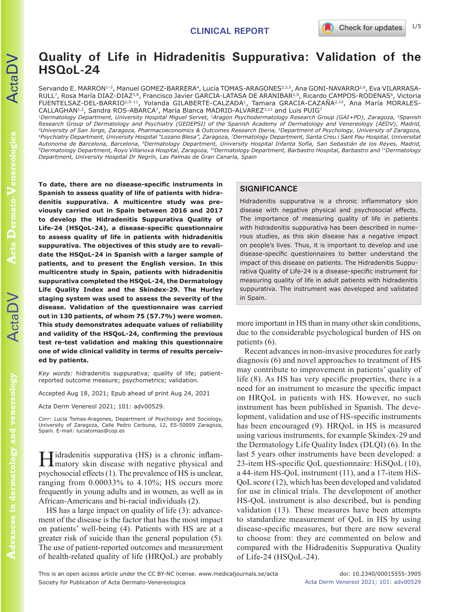# **Quality of Life in Hidradenitis Suppurativa: Validation of the HSQoL-24**

Servando E. MARRON<sup>1-3</sup>, Manuel GOMEZ-BARRERA<sup>4</sup>, Lucía TOMAS-ARAGONES<sup>2,3,5</sup>, Ana GONI-NAVARRO<sup>2,6</sup>, Eva VILARRASA-RULL<sup>7</sup>, Rosa María DIAZ-DIAZ<sup>3,8</sup>, Francisco Javier GARCIA-LATASA DE ARANIBAR<sup>2,9</sup>, Ricardo CAMPOS-RODENAS<sup>6</sup>, Victoria FUENTELSAZ-DEL-BARRIO2,9–11, Yolanda GILABERTE-CALZADA1, Tamara GRACIA-CAZAÑA2,10, Ana María MORALES-CALLAGHAN<sup>1,2</sup>, Sandra ROS-ABARCA<sup>7</sup>, María Blanca MADRID-ALVAREZ<sup>3,11</sup> and Luis PUIG<sup>7</sup>

*1Dermatology Department, University Hospital Miguel Servet, 2Aragon Psychodermatology Research Group (GAI+PD), Zaragoza, 3Spanish Research Group of Dermatology and Psychiatry (GEDEPSI) of the Spanish Academy of Dermatology and Venereology (AEDV), Madrid,*  <sup>6</sup>Psychiatry Department, University Hospital "Lozano Blesa", Zaragoza, <sup>7</sup>Dermatology Department, Santa Creu i Sant Pau Hospital, Universitat<br>Autonoma de Barcelona, Barcelona, <sup>8</sup>Dermatology Department, University Hospita <sup>9</sup>Dermatology Department, Royo Villanova Hospital, Zaragoza, <sup>10</sup>Dermatology Department, Barbastro Hospital, Barbastro and <sup>11</sup>Dermatology *Department, University Hospital Dr Negrín, Las Palmas de Gran Canaria, Spain*

**To date, there are no disease-specific instruments in Spanish to assess quality of life of patients with hidradenitis suppurativa. A multicentre study was previously carried out in Spain between 2016 and 2017 to develop the Hidradenitis Suppurativa Quality of Life-24 (HSQoL-24), a disease-specific questionnaire to assess quality of life in patients with hidradenitis suppurativa. The objectives of this study are to revalidate the HSQoL-24 in Spanish with a larger sample of patients, and to present the English version. In this multicentre study in Spain, patients with hidradenitis suppurativa completed the HSQoL-24, the Dermatology Life Quality Index and the Skindex-29. The Hurley staging system was used to assess the severity of the disease. Validation of the questionnaire was carried out in 130 patients, of whom 75 (57.7%) were women. This study demonstrates adequate values of reliability and validity of the HSQoL-24, confirming the previous test re-test validation and making this questionnaire one of wide clinical validity in terms of results perceived by patients.**

*Key words:* hidradenitis suppurativa; quality of life; patientreported outcome measure; psychometrics; validation.

Accepted Aug 18, 2021; Epub ahead of print Aug 24, 2021

Acta Derm Venereol 2021; 101: adv00529.

*Corr:* Lucia Tomas-Aragones, Department of Psychology and Sociology, University of Zaragoza, Calle Pedro Cerbuna, 12, ES-50009 Zaragoza, Spain. E-mail: luciatomas@cop.es

 $T$ idradenitis suppurativa (HS) is a chronic inflammatory skin disease with negative physical and psychosocial effects (1). The prevalence of HS is unclear, ranging from 0.00033% to 4.10%; HS occurs more frequently in young adults and in women, as well as in African-Americans and bi-racial individuals (2).

HS has a large impact on quality of life (3): advancement of the disease is the factor that has the most impact on patients' well-being (4). Patients with HS are at a greater risk of suicide than the general population (5). The use of patient-reported outcomes and measurement of health-related quality of life (HRQoL) are probably

## **SIGNIFICANCE**

Hidradenitis suppurativa is a chronic inflammatory skin disease with negative physical and psychosocial effects. The importance of measuring quality of life in patients with hidradenitis suppurativa has been described in numerous studies, as this skin disease has a negative impact on people's lives. Thus, it is important to develop and use disease-specific questionnaires to better understand the impact of this disease on patients. The Hidradenitis Suppurativa Quality of Life-24 is a disease-specific instrument for measuring quality of life in adult patients with hidradenitis suppurativa. The instrument was developed and validated in Spain.

more important in HS than in many other skin conditions, due to the considerable psychological burden of HS on patients (6).

Recent advances in non-invasive procedures for early diagnosis (6) and novel approaches to treatment of HS may contribute to improvement in patients' quality of life (8). As HS has very specific properties, there is a need for an instrument to measure the specific impact on HRQoL in patients with HS. However, no such instrument has been published in Spanish. The development, validation and use of HS-specific instruments has been encouraged (9). HRQoL in HS is measured using various instruments, for example Skindex-29 and the Dermatology Life Quality Index (DLQI) (6). In the last 5 years other instruments have been developed: a 23-item HS-specific QoL questionnaire: HiSQoL (10), a 44-item HS-QoL instrument (11), and a 17-item HiS-QoL score (12), which has been developed and validated for use in clinical trials. The development of another HS-QoL instrument is also described, but is pending validation (13). These measures have been attempts to standardize measurement of QoL in HS by using disease-specific measures, but there are now several to choose from: they are commented on below and compared with the Hidradenitis Suppurativa Quality of Life-24 (HSQoL-24).

 $\mathsf{Actal}$ 

This is an open access article under the CC BY-NC license. www.medicaljournals.se/acta doi: 10.2340/00015555-3905 Society for Publication of Acta Dermato-Venereologica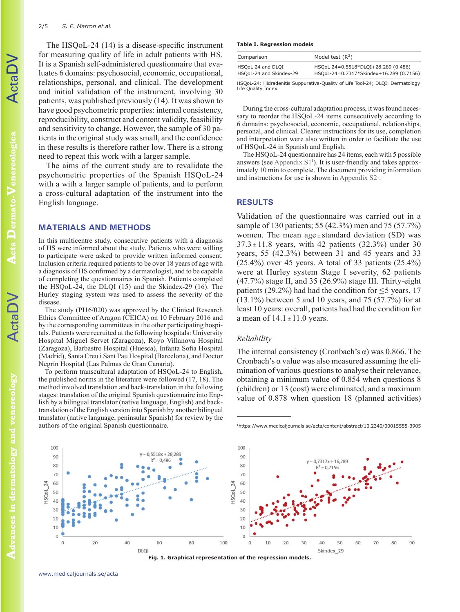The HSQoL-24 (14) is a disease-specific instrument for measuring quality of life in adult patients with HS. It is a Spanish self-administered questionnaire that evaluates 6 domains: psychosocial, economic, occupational, relationships, personal, and clinical. The development and initial validation of the instrument, involving 30 patients, was published previously (14). It was shown to have good psychometric properties: internal consistency, reproducibility, construct and content validity, feasibility and sensitivity to change. However, the sample of 30 patients in the original study was small, and the confidence in these results is therefore rather low. There is a strong need to repeat this work with a larger sample.

The aims of the current study are to revalidate the psychometric properties of the Spanish HSQoL-24 with a with a larger sample of patients, and to perform a cross-cultural adaptation of the instrument into the English language.

#### **MATERIALS AND METHODS**

In this multicentre study, consecutive patients with a diagnosis of HS were informed about the study. Patients who were willing to participate were asked to provide written informed consent. Inclusion criteria required patients to be over 18 years of age with a diagnosis of HS confirmed by a dermatologist, and to be capable of completing the questionnaires in Spanish. Patients completed the HSQoL-24, the DLQI (15) and the Skindex-29 (16). The Hurley staging system was used to assess the severity of the disease.

The study (PI16/020) was approved by the Clinical Research Ethics Committee of Aragon (CEICA) on 10 February 2016 and by the corresponding committees in the other participating hospitals. Patients were recruited at the following hospitals: University Hospital Miguel Servet (Zaragoza), Royo Villanova Hospital (Zaragoza), Barbastro Hospital (Huesca), Infanta Sofia Hospital (Madrid), Santa Creu i Sant Pau Hospital (Barcelona), and Doctor Negrín Hospital (Las Palmas de Gran Canaria).

To perform transcultural adaptation of HSQoL-24 to English, the published norms in the literature were followed (17, 18). The method involved translation and back-translation in the following stages: translation of the original Spanish questionnaire into English by a bilingual translator (native language, English) and backtranslation of the English version into Spanish by another bilingual translator (native language, peninsular Spanish) for review by the authors of the original Spanish questionnaire.

#### **Table I. Regression models**

| Comparison              | Model test $(R^2)$                      |
|-------------------------|-----------------------------------------|
| HSOoL-24 and DLOI       | HSQoL-24=0.5518*DLQI+28.289 (0.486)     |
| HSQoL-24 and Skindex-29 | HSQoL-24=0.7317*Skindex+16.289 (0.7156) |

HSQoL-24: Hidradenitis Suppurativa-Quality of Life Tool-24; DLQI: Dermatology Life Quality Index.

During the cross-cultural adaptation process, it was found necessary to reorder the HSQoL-24 items consecutively according to 6 domains: psychosocial, economic, occupational, relationships, personal, and clinical. Clearer instructions for its use, completion and interpretation were also written in order to facilitate the use of HSQoL-24 in Spanish and English.

The HSQoL-24 questionnaire has 24 items, each with 5 possible answers (see Appendix  $S1<sup>1</sup>$ ). It is user-friendly and takes approximately 10 min to complete. The document providing information and instructions for use is shown in [Appendix S2](https://www.medicaljournals.se/acta/content/abstract/10.2340/00015555-3905)1 .

#### **RESULTS**

Validation of the questionnaire was carried out in a sample of 130 patients; 55 (42.3%) men and 75 (57.7%) women. The mean  $age \pm standard deviation (SD)$  was  $37.3 \pm 11.8$  years, with 42 patients (32.3%) under 30 years, 55 (42.3%) between 31 and 45 years and 33  $(25.4\%)$  over 45 years. A total of 33 patients  $(25.4\%)$ were at Hurley system Stage I severity, 62 patients  $(47.7%)$  stage II, and 35 (26.9%) stage III. Thirty-eight patients (29.2%) had had the condition for  $\leq$  5 years, 17 (13.1%) between 5 and 10 years, and 75 (57.7%) for at least 10 years: overall, patients had had the condition for a mean of  $14.1 \pm 11.0$  years.

## *Reliability*

The internal consistency (Cronbach's  $\alpha$ ) was 0.866. The Cronbach's  $\alpha$  value was also measured assuming the elimination of various questions to analyse their relevance, obtaining a minimum value of 0.854 when questions 8 (children) or 13 (cost) were eliminated, and a maximum value of 0.878 when question 18 (planned activities)





**Acta** 

**Venereologica**

**Dermato-**

ActaDV

<sup>1</sup>https://www.medicaljournals.se/acta/content/abstract/10.2340/00015555-3905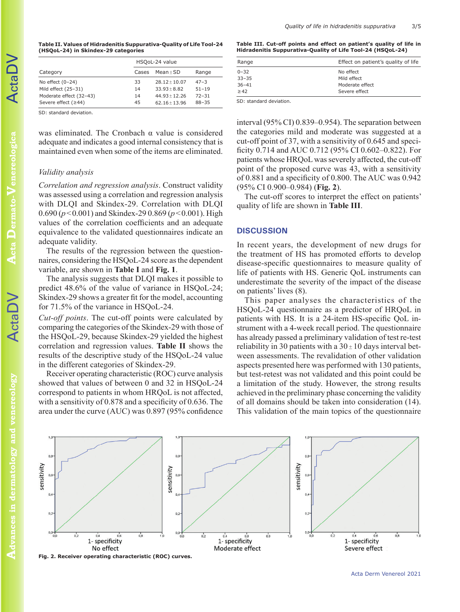**Table II. Values of Hidradenitis Suppurativa-Quality of Life Tool-24 (HSQoL-24) in Skindex-29 categories**

|                         | HSQoL-24 value |                   |           |  |
|-------------------------|----------------|-------------------|-----------|--|
| Category                | Cases          | $Mean + SD$       | Range     |  |
| No effect $(0-24)$      | 33             | $28.12 \pm 10.07$ | $47 - 3$  |  |
| Mild effect (25-31)     | 14             | $33.93 + 8.82$    | $51 - 19$ |  |
| Moderate effect (32-43) | 14             | $44.93 + 12.26$   | $72 - 31$ |  |
| Severe effect $(≥44)$   | 45             | $62.16 \pm 13.96$ | $88 - 35$ |  |

SD: standard deviation.

was eliminated. The Cronbach  $\alpha$  value is considered adequate and indicates a good internal consistency that is maintained even when some of the items are eliminated.

#### *Validity analysis*

*Correlation and regression analysis*. Construct validity was assessed using a correlation and regression analysis with DLQI and Skindex-29. Correlation with DLQI 0.690 (*p*<0.001) and Skindex-29 0.869 (*p*<0.001). High values of the correlation coefficients and an adequate equivalence to the validated questionnaires indicate an adequate validity.

The results of the regression between the questionnaires, considering the HSQoL-24 score as the dependent variable, are shown in **Table I** and **Fig. 1**.

The analysis suggests that DLQI makes it possible to predict 48.6% of the value of variance in HSQoL-24; Skindex-29 shows a greater fit for the model, accounting for 71.5% of the variance in HSQoL-24.

*Cut-off points*. The cut-off points were calculated by comparing the categories of the Skindex-29 with those of the HSQoL-29, because Skindex-29 yielded the highest correlation and regression values. **Table II** shows the results of the descriptive study of the HSQoL-24 value in the different categories of Skindex-29.

Receiver operating characteristic (ROC) curve analysis showed that values of between 0 and 32 in HSQoL-24 correspond to patients in whom HRQoL is not affected, with a sensitivity of 0.878 and a specificity of 0.636. The area under the curve (AUC) was 0.897 (95% confidence **Table III. Cut-off points and effect on patient's quality of life in Hidradenitis Suppurativa-Quality of Life Tool-24 (HSQoL-24)**

| Effect on patient's quality of life |  |
|-------------------------------------|--|
|                                     |  |
|                                     |  |
|                                     |  |
|                                     |  |
|                                     |  |

SD: standard deviation.

interval (95% CI) 0.839–0.954). The separation between the categories mild and moderate was suggested at a cut-off point of 37, with a sensitivity of 0.645 and specificity 0.714 and AUC 0.712 (95% CI 0.602–0.822). For patients whose HRQoL was severely affected, the cut-off point of the proposed curve was 43, with a sensitivity of 0.881 and a specificity of 0.800. The AUC was 0.942 (95% CI 0.900–0.984) (**Fig. 2**).

The cut-off scores to interpret the effect on patients' quality of life are shown in **Table III**.

#### **DISCUSSION**

In recent years, the development of new drugs for the treatment of HS has promoted efforts to develop disease-specific questionnaires to measure quality of life of patients with HS. Generic QoL instruments can underestimate the severity of the impact of the disease on patients' lives (8).

This paper analyses the characteristics of the HSQoL-24 questionnaire as a predictor of HRQoL in patients with HS. It is a 24-item HS-specific QoL instrument with a 4-week recall period. The questionnaire has already passed a preliminary validation of test re-test reliability in 30 patients with a  $30 \pm 10$  days interval between assessments. The revalidation of other validation aspects presented here was performed with 130 patients, but test-retest was not validated and this point could be a limitation of the study. However, the strong results achieved in the preliminary phase concerning the validity of all domains should be taken into consideration (14). This validation of the main topics of the questionnaire



Acta Derm Venereol 2021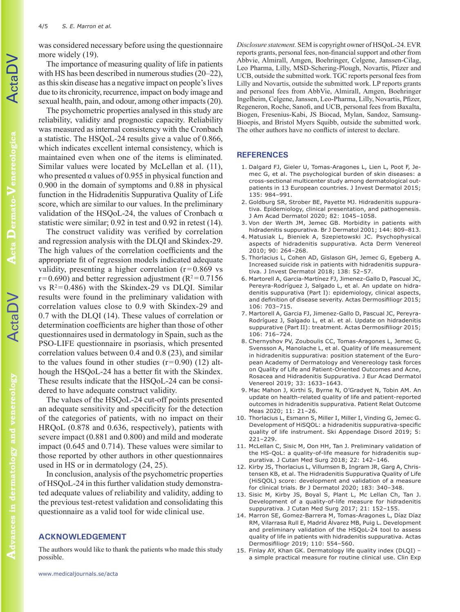was considered necessary before using the questionnaire more widely  $(19)$ .

The importance of measuring quality of life in patients with HS has been described in numerous studies (20–22), as this skin disease has a negative impact on people's lives due to its chronicity, recurrence, impact on body image and sexual health, pain, and odour, among other impacts (20).

The psychometric properties analysed in this study are reliability, validity and prognostic capacity. Reliability was measured as internal consistency with the Cronbach a statistic. The HSQoL-24 results give a value of 0.866, which indicates excellent internal consistency, which is maintained even when one of the items is eliminated. Similar values were located by McLellan et al. (11), who presented  $\alpha$  values of 0.955 in physical function and 0.900 in the domain of symptoms and 0.88 in physical function in the Hidradenitis Suppurativa Quality of Life score, which are similar to our values. In the preliminary validation of the HSQoL-24, the values of Cronbach  $\alpha$ statistic were similar; 0.92 in test and 0.92 in retest (14).

The construct validity was verified by correlation and regression analysis with the DLQI and Skindex-29. The high values of the correlation coefficients and the appropriate fit of regression models indicated adequate validity, presenting a higher correlation  $(r=0.869 \text{ vs }$  $r=0.690$ ) and better regression adjustment ( $R^2=0.7156$ ) vs  $R^2$ =0.486) with the Skindex-29 vs DLQI. Similar results were found in the preliminary validation with correlation values close to 0.9 with Skindex-29 and 0.7 with the DLQI (14). These values of correlation or determination coefficients are higher than those of other questionnaires used in dermatology in Spain, such as the PSO-LIFE questionnaire in psoriasis, which presented correlation values between 0.4 and 0.8 (23), and similar to the values found in other studies  $(r=0.90)$  (12) although the HSQoL-24 has a better fit with the Skindex. These results indicate that the HSQoL-24 can be considered to have adequate construct validity.

The values of the HSQoL-24 cut-off points presented an adequate sensitivity and specificity for the detection of the categories of patients, with no impact on their HRQoL (0.878 and 0.636, respectively), patients with severe impact (0.881 and 0.800) and mild and moderate impact (0.645 and 0.714). These values were similar to those reported by other authors in other questionnaires used in HS or in dermatology (24, 25).

In conclusion, analysis of the psychometric properties of HSQoL-24 in this further validation study demonstrated adequate values of reliability and validity, adding to the previous test-retest validation and consolidating this questionnaire as a valid tool for wide clinical use.

#### **ACKNOWLEDGEMENT**

The authors would like to thank the patients who made this study possible.

*Disclosure statement.* SEM is copyright owner of HSQoL-24. EVR reports grants, personal fees, non-financial support and other from Abbvie, Almirall, Amgen, Boehringer, Celgene, Janssen-Cilag, Leo Pharma, Lilly, MSD-Schering-Plough, Novartis, Pfizer and UCB, outside the submitted work. TGC reports personal fees from Lilly and Novartis, outside the submitted work. LP reports grants and personal fees from AbbVie, Almirall, Amgen, Boehringer Ingelheim, Celgene, Janssen, Leo-Pharma, Lilly, Novartis, Pfizer, Regeneron, Roche, Sanofi, and UCB, personal fees from Baxalta, Biogen, Fresenius-Kabi, JS Biocad, Mylan, Sandoz, Samsung-Bioepis, and Bristol Myers Squibb, outside the submitted work. The other authors have no conflicts of interest to declare.

### **REFERENCES**

- 1. Dalgard FJ, Gieler U, Tomas-Aragones L, Lien L, Poot F, Jemec G, et al. The psychological burden of skin diseases: a cross-sectional multicenter study among dermatological outpatients in 13 European countries. J Invest Dermatol 2015; 135: 984–991.
- 2. Goldburg SR, Strober BE, Payette MJ. Hidradenitis suppurativa. Epidemiology, clinical presentation, and pathogenesis. J Am Acad Dermatol 2020; 82: 1045–1058.
- 3. Von der Werth JM, Jemec GB. Morbidity in patients with hidradenitis suppurativa. Br J Dermatol 2001; 144: 809–813.
- 4. Matusiak L, Bieniek A, Szepietowski JC. Psychophysical aspects of hidradenitis suppurativa. Acta Derm Venereol 2010; 90: 264–268.
- 5. Thorlacius L, Cohen AD, Gislason GH, Jemec G, Egeberg A. Increased suicide risk in patients with hidradenitis suppurativa. J Invest Dermatol 2018; 138: 52–57.
- 6. Martorell A, Garcia-Martínez FJ, Jimenez-Gallo D, Pascual JC, Pereyra-Rodríguez J, Salgado L, et al. An update on hidradenitis suppurativa (Part I): epidemiology, clinical aspects, and definition of disease severity. Actas Dermosifiliogr 2015; 106: 703–715.
- 7. Martorell A, Garcia FJ, Jimenez-Gallo D, Pascual JC, Pereyra-Rodríguez J, Salgado L, et al. et al. Update on hidradenitis suppurative (Part II): treatment. Actas Dermosifiliogr 2015; 106: 716–724.
- 8. Chernyshov PV, Zouboulis CC, Tomas-Aragones L, Jemec G, Svensson A, Manolache L, et al. Quality of life measurement in hidradenitis suppurativa: position statement of the European Academy of Dermatology and Venereology task forces on Quality of Life and Patient-Oriented Outcomes and Acne, Rosacea and Hidradenitis Suppurativa. J Eur Acad Dermatol Venereol 2019; 33: 1633–1643.
- 9. Mac Mahon J, Kirthi S, Byrne N, O'Gradyet N, Tobin AM. An update on health-related quality of life and patient-reported outcomes in hidradenitis suppurativa. Patient Relat Outcome Meas 2020; 11: 21–26.
- 10. Thorlacius L, Esmann S, Miller I, Miller I, Vinding G, Jemec G. Development of HiSQOL: a hidradenitis suppurativa-specific quality of life instrument. Ski Appendage Disord 2019; 5: 221–229.
- 11. McLellan C, Sisic M, Oon HH, Tan J. Preliminary validation of the HS-QoL: a quality-of-life measure for hidradenitis suppurativa. J Cutan Med Surg 2018; 22: 142–146.
- 12. Kirby JS, Thorlacius L, Villumsen B, Ingram JR, Garg A, Christensen KB, et al. The Hidradenitis Suppurativa Quality of Life (HiSQOL) score: development and validation of a measure for clinical trials. Br J Dermatol 2020; 183: 340–348.
- 13. Sisic M, Kirby JS, Boyal S, Plant L, Mc Lellan Ch, Tan J. Development of a quality-of-life measure for hidradenitis suppurativa. J Cutan Med Surg 2017; 21: 152–155.
- 14. Marron SE, Gomez-Barrera M, Tomas-Aragones L, Díaz Díaz RM, Vilarrasa Rull E, Madrid Álvarez MB, Puig L. Development and preliminary validation of the HSQoL-24 tool to assess quality of life in patients with hidradenitis suppurativa. Actas Dermosifiliogr 2019; 110: 554–560.
- 15. Finlay AY, Khan GK. Dermatology life quality index (DLQI) a simple practical measure for routine clinical use. Clin Exp